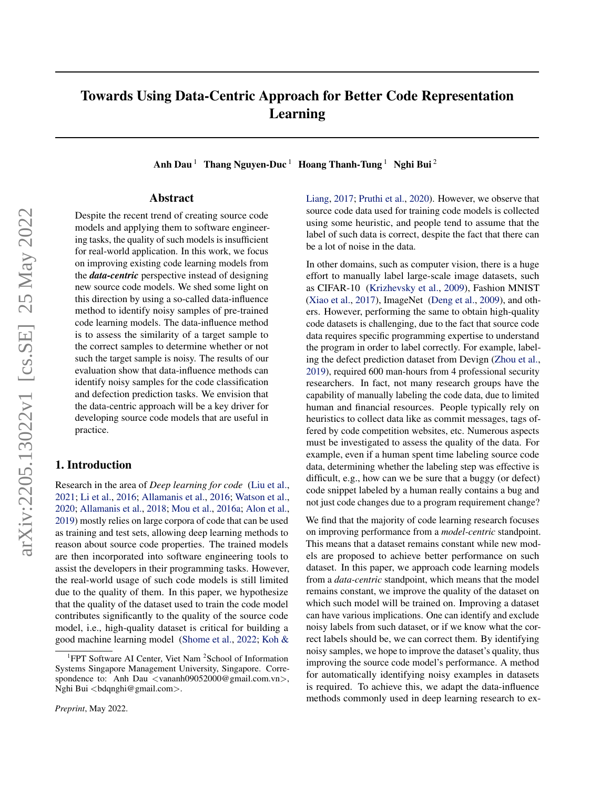# Towards Using Data-Centric Approach for Better Code Representation Learning

Anh Dau<sup>1</sup> Thang Nguyen-Duc<sup>1</sup> Hoang Thanh-Tung<sup>1</sup> Nghi Bui<sup>2</sup>

## Abstract

Despite the recent trend of creating source code models and applying them to software engineering tasks, the quality of such models is insufficient for real-world application. In this work, we focus on improving existing code learning models from the *data-centric* perspective instead of designing new source code models. We shed some light on this direction by using a so-called data-influence method to identify noisy samples of pre-trained code learning models. The data-influence method is to assess the similarity of a target sample to the correct samples to determine whether or not such the target sample is noisy. The results of our evaluation show that data-influence methods can identify noisy samples for the code classification and defection prediction tasks. We envision that the data-centric approach will be a key driver for developing source code models that are useful in practice.

# 1. Introduction

Research in the area of *Deep learning for code* [\(Liu et al.,](#page-5-0) [2021;](#page-5-0) [Li et al.,](#page-5-1) [2016;](#page-5-1) [Allamanis et al.,](#page-5-2) [2016;](#page-5-2) [Watson et al.,](#page-5-3) [2020;](#page-5-3) [Allamanis et al.,](#page-5-4) [2018;](#page-5-4) [Mou et al.,](#page-5-5) [2016a;](#page-5-5) [Alon et al.,](#page-5-6) [2019\)](#page-5-6) mostly relies on large corpora of code that can be used as training and test sets, allowing deep learning methods to reason about source code properties. The trained models are then incorporated into software engineering tools to assist the developers in their programming tasks. However, the real-world usage of such code models is still limited due to the quality of them. In this paper, we hypothesize that the quality of the dataset used to train the code model contributes significantly to the quality of the source code model, i.e., high-quality dataset is critical for building a good machine learning model [\(Shome et al.,](#page-5-7) [2022;](#page-5-7) [Koh &](#page-5-8)

[Liang,](#page-5-8) [2017;](#page-5-8) [Pruthi et al.,](#page-5-9) [2020\)](#page-5-9). However, we observe that source code data used for training code models is collected using some heuristic, and people tend to assume that the label of such data is correct, despite the fact that there can be a lot of noise in the data.

In other domains, such as computer vision, there is a huge effort to manually label large-scale image datasets, such as CIFAR-10 [\(Krizhevsky et al.,](#page-5-10) [2009\)](#page-5-10), Fashion MNIST [\(Xiao et al.,](#page-5-11) [2017\)](#page-5-11), ImageNet [\(Deng et al.,](#page-5-12) [2009\)](#page-5-12), and others. However, performing the same to obtain high-quality code datasets is challenging, due to the fact that source code data requires specific programming expertise to understand the program in order to label correctly. For example, labeling the defect prediction dataset from Devign [\(Zhou et al.,](#page-6-0) [2019\)](#page-6-0), required 600 man-hours from 4 professional security researchers. In fact, not many research groups have the capability of manually labeling the code data, due to limited human and financial resources. People typically rely on heuristics to collect data like as commit messages, tags offered by code competition websites, etc. Numerous aspects must be investigated to assess the quality of the data. For example, even if a human spent time labeling source code data, determining whether the labeling step was effective is difficult, e.g., how can we be sure that a buggy (or defect) code snippet labeled by a human really contains a bug and not just code changes due to a program requirement change?

We find that the majority of code learning research focuses on improving performance from a *model-centric* standpoint. This means that a dataset remains constant while new models are proposed to achieve better performance on such dataset. In this paper, we approach code learning models from a *data-centric* standpoint, which means that the model remains constant, we improve the quality of the dataset on which such model will be trained on. Improving a dataset can have various implications. One can identify and exclude noisy labels from such dataset, or if we know what the correct labels should be, we can correct them. By identifying noisy samples, we hope to improve the dataset's quality, thus improving the source code model's performance. A method for automatically identifying noisy examples in datasets is required. To achieve this, we adapt the data-influence methods commonly used in deep learning research to ex-

<sup>&</sup>lt;sup>1</sup>[FPT Software AI Center, Viet Nam](#page-5-8)<sup>2</sup> School of Information [Systems Singapore Management University, Singapore. Corre](#page-5-8)spondence to: Anh Dau <[vananh09052000@gmail.com.vn](#page-5-8)>, Nghi Bui <br/>[bdqnghi@gmail.com](#page-5-8)>.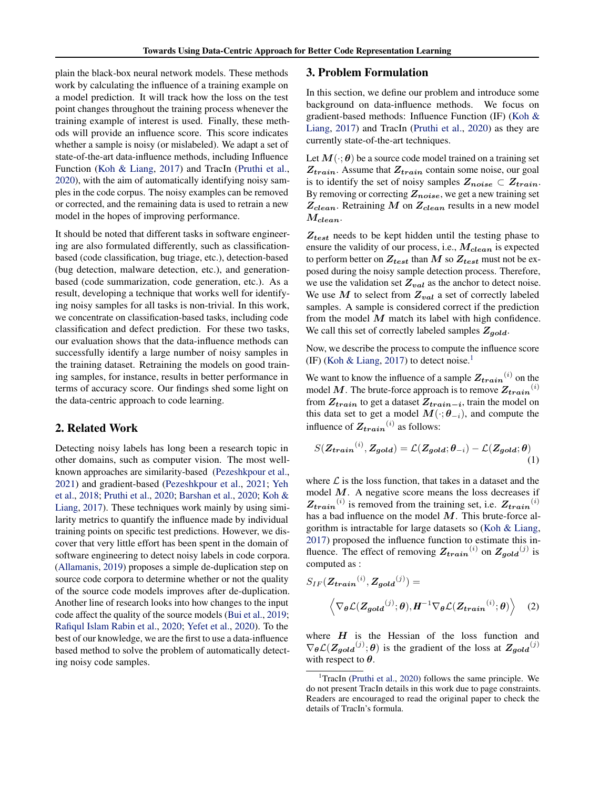plain the black-box neural network models. These methods work by calculating the influence of a training example on a model prediction. It will track how the loss on the test point changes throughout the training process whenever the training example of interest is used. Finally, these methods will provide an influence score. This score indicates whether a sample is noisy (or mislabeled). We adapt a set of state-of-the-art data-influence methods, including Influence Function [\(Koh & Liang,](#page-5-8) [2017\)](#page-5-8) and TracIn [\(Pruthi et al.,](#page-5-9) [2020\)](#page-5-9), with the aim of automatically identifying noisy samples in the code corpus. The noisy examples can be removed or corrected, and the remaining data is used to retrain a new model in the hopes of improving performance.

It should be noted that different tasks in software engineering are also formulated differently, such as classificationbased (code classification, bug triage, etc.), detection-based (bug detection, malware detection, etc.), and generationbased (code summarization, code generation, etc.). As a result, developing a technique that works well for identifying noisy samples for all tasks is non-trivial. In this work, we concentrate on classification-based tasks, including code classification and defect prediction. For these two tasks, our evaluation shows that the data-influence methods can successfully identify a large number of noisy samples in the training dataset. Retraining the models on good training samples, for instance, results in better performance in terms of accuracy score. Our findings shed some light on the data-centric approach to code learning.

# 2. Related Work

Detecting noisy labels has long been a research topic in other domains, such as computer vision. The most wellknown approaches are similarity-based [\(Pezeshkpour et al.,](#page-5-13) [2021\)](#page-5-13) and gradient-based [\(Pezeshkpour et al.,](#page-5-13) [2021;](#page-5-13) [Yeh](#page-5-14) [et al.,](#page-5-14) [2018;](#page-5-14) [Pruthi et al.,](#page-5-9) [2020;](#page-5-9) [Barshan et al.,](#page-5-15) [2020;](#page-5-15) [Koh &](#page-5-8) [Liang,](#page-5-8) [2017\)](#page-5-8). These techniques work mainly by using similarity metrics to quantify the influence made by individual training points on specific test predictions. However, we discover that very little effort has been spent in the domain of software engineering to detect noisy labels in code corpora. [\(Allamanis,](#page-4-0) [2019\)](#page-4-0) proposes a simple de-duplication step on source code corpora to determine whether or not the quality of the source code models improves after de-duplication. Another line of research looks into how changes to the input code affect the quality of the source models [\(Bui et al.,](#page-5-16) [2019;](#page-5-16) [Rafiqul Islam Rabin et al.,](#page-5-17) [2020;](#page-5-17) [Yefet et al.,](#page-5-18) [2020\)](#page-5-18). To the best of our knowledge, we are the first to use a data-influence based method to solve the problem of automatically detecting noisy code samples.

## <span id="page-1-1"></span>3. Problem Formulation

In this section, we define our problem and introduce some background on data-influence methods. We focus on gradient-based methods: Influence Function (IF) [\(Koh &](#page-5-8) [Liang,](#page-5-8) [2017\)](#page-5-8) and TracIn [\(Pruthi et al.,](#page-5-9) [2020\)](#page-5-9) as they are currently state-of-the-art techniques.

Let  $M(\cdot; \theta)$  be a source code model trained on a training set  $Z_{train}$ . Assume that  $Z_{train}$  contain some noise, our goal is to identify the set of noisy samples  $Z_{noise} \subset Z_{train}$ . By removing or correcting  $Z_{noise}$ , we get a new training set  $Z_{clean}$ . Retraining M on  $Z_{clean}$  results in a new model  $M_{clean}$ .

 $Z_{test}$  needs to be kept hidden until the testing phase to ensure the validity of our process, i.e.,  $M_{clean}$  is expected to perform better on  $Z_{test}$  than M so  $Z_{test}$  must not be exposed during the noisy sample detection process. Therefore, we use the validation set  $Z_{val}$  as the anchor to detect noise. We use  $M$  to select from  $Z_{val}$  a set of correctly labeled samples. A sample is considered correct if the prediction from the model  $M$  match its label with high confidence. We call this set of correctly labeled samples  $Z_{gold}$ .

Now, we describe the process to compute the influence score (IF) [\(Koh & Liang,](#page-5-8) [2017\)](#page-5-8) to detect noise.<sup>[1](#page-1-0)</sup>

We want to know the influence of a sample  $Z_{train}^{(i)}$  on the model M. The brute-force approach is to remove  $Z_{train}^{(i)}$ from  $Z_{train}$  to get a dataset  $Z_{train-i}$ , train the model on this data set to get a model  $M(\cdot; \theta_{-i})$ , and compute the influence of  $Z_{train}^{(i)}$  as follows:

$$
S(\mathbf{Z}_{train}^{(i)}, \mathbf{Z}_{gold}) = \mathcal{L}(\mathbf{Z}_{gold}; \boldsymbol{\theta}_{-i}) - \mathcal{L}(\mathbf{Z}_{gold}; \boldsymbol{\theta})
$$
\n(1)

where  $\mathcal L$  is the loss function, that takes in a dataset and the model  $M$ . A negative score means the loss decreases if  $Z_{train}^{(i)}$  is removed from the training set, i.e.  $Z_{train}^{(i)}$ has a bad influence on the model  $M$ . This brute-force algorithm is intractable for large datasets so [\(Koh & Liang,](#page-5-8) [2017\)](#page-5-8) proposed the influence function to estimate this influence. The effect of removing  $Z_{train}^{(i)}$  on  $Z_{gold}^{(j)}$  is computed as :

$$
S_{IF}(\mathbf{Z}_{train}^{(i)}, \mathbf{Z}_{gold}^{(j)}) = \left\langle \nabla_{\theta} \mathcal{L}(\mathbf{Z}_{gold}^{(j)}; \theta), \mathbf{H}^{-1} \nabla_{\theta} \mathcal{L}(\mathbf{Z}_{train}^{(i)}; \theta) \right\rangle \quad (2)
$$

where  $H$  is the Hessian of the loss function and  $\nabla_{\theta} \mathcal{L}(Z_{gold}^{(j)}; \theta)$  is the gradient of the loss at  $Z_{gold}^{(j)}$ with respect to  $\theta$ .

<span id="page-1-0"></span><sup>&</sup>lt;sup>1</sup>TracIn [\(Pruthi et al.,](#page-5-9) [2020\)](#page-5-9) follows the same principle. We do not present TracIn details in this work due to page constraints. Readers are encouraged to read the original paper to check the details of TracIn's formula.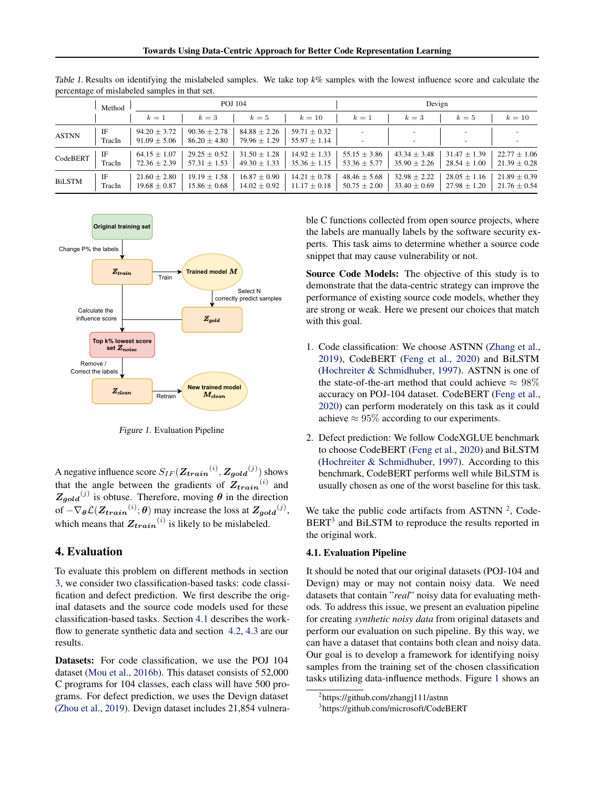|               | Method       | POJ 104                              |                                      |                                      |                                      | Devign                               |                                      |                                      |                                      |
|---------------|--------------|--------------------------------------|--------------------------------------|--------------------------------------|--------------------------------------|--------------------------------------|--------------------------------------|--------------------------------------|--------------------------------------|
|               |              | $k=1$                                | $k=3$                                | $k=5$                                | $k=10$                               | $k=1$                                | $k=3$                                | $k=5$                                | $k=10$                               |
| <b>ASTNN</b>  | IF<br>TracIn | $94.20 \pm 3.72$<br>$91.09 \pm 5.06$ | $90.36 \pm 2.78$<br>$86.20 \pm 4.80$ | $84.88 \pm 2.26$<br>$79.96 \pm 1.29$ | $59.71 \pm 0.32$<br>$55.97 \pm 1.14$ |                                      |                                      |                                      |                                      |
| CodeBERT      | IF<br>TracIn | $64.15 \pm 1.07$<br>$72.36 \pm 2.39$ | $29.25 \pm 0.52$<br>$57.31 \pm 1.53$ | $31.50 \pm 1.28$<br>$49.30 \pm 1.33$ | $14.92 \pm 1.33$<br>$35.36 \pm 1.15$ | $55.15 \pm 3.86$<br>$53.36 \pm 5.77$ | $43.34 \pm 3.48$<br>$35.90 \pm 2.26$ | $31.47 \pm 1.39$<br>$28.54 \pm 1.00$ | $22.77 \pm 1.06$<br>$21.39 \pm 0.28$ |
| <b>BiLSTM</b> | IF<br>TracIn | $21.60 \pm 2.80$<br>$19.68 \pm 0.87$ | $19.19 \pm 1.58$<br>$15.86 \pm 0.68$ | $16.87 \pm 0.90$<br>$14.02 \pm 0.92$ | $14.21 \pm 0.78$<br>$11.17 \pm 0.18$ | $48.46 \pm 5.68$<br>$50.75 \pm 2.00$ | $32.98 \pm 2.22$<br>$33.40 \pm 0.69$ | $28.05 \pm 1.16$<br>$27.98 \pm 1.20$ | $21.89 \pm 0.39$<br>$21.76 \pm 0.54$ |

<span id="page-2-4"></span>Table 1. Results on identifying the mislabeled samples. We take top *k%* samples with the lowest influence score and calculate the percentage of mislabeled samples in that set.

<span id="page-2-3"></span>

Figure 1. Evaluation Pipeline

A negative influence score  $S_{IF}(\mathbf{Z}_{train}^{(i)}, \mathbf{Z}_{gold}^{(j)})$  shows that the angle between the gradients of  $Z_{train}^{(i)}$  and  $Z_{gold}^{(j)}$  is obtuse. Therefore, moving  $\theta$  in the direction of  $-\nabla_{\theta} \mathcal{L}(\mathbf{Z}_{train}^{(i)}; \theta)$  may increase the loss at  $\mathbf{Z}_{gold}^{(j)}$ , which means that  $Z_{train}^{(i)}$  is likely to be mislabeled.

## 4. Evaluation

To evaluate this problem on different methods in section [3,](#page-1-1) we consider two classification-based tasks: code classification and defect prediction. We first describe the original datasets and the source code models used for these classification-based tasks. Section [4.1](#page-2-0) describes the work-flow to generate synthetic data and section [4.2,](#page-3-0) [4.3](#page-4-1) are our results.

Datasets: For code classification, we use the POJ 104 dataset [\(Mou et al.,](#page-5-19) [2016b\)](#page-5-19). This dataset consists of 52,000 C programs for 104 classes, each class will have 500 programs. For defect prediction, we uses the Devign dataset [\(Zhou et al.,](#page-6-0) [2019\)](#page-6-0). Devign dataset includes 21,854 vulnerable C functions collected from open source projects, where the labels are manually labels by the software security experts. This task aims to determine whether a source code snippet that may cause vulnerability or not.

Source Code Models: The objective of this study is to demonstrate that the data-centric strategy can improve the performance of existing source code models, whether they are strong or weak. Here we present our choices that match with this goal.

- 1. Code classification: We choose ASTNN [\(Zhang et al.,](#page-6-1) [2019\)](#page-6-1), CodeBERT [\(Feng et al.,](#page-5-20) [2020\)](#page-5-20) and BiLSTM [\(Hochreiter & Schmidhuber,](#page-5-21) [1997\)](#page-5-21). ASTNN is one of the state-of-the-art method that could achieve  $\approx 98\%$ accuracy on POJ-104 dataset. CodeBERT [\(Feng et al.,](#page-5-20) [2020\)](#page-5-20) can perform moderately on this task as it could achieve  $\approx 95\%$  according to our experiments.
- 2. Defect prediction: We follow CodeXGLUE benchmark to choose CodeBERT [\(Feng et al.,](#page-5-20) [2020\)](#page-5-20) and BiLSTM [\(Hochreiter & Schmidhuber,](#page-5-21) [1997\)](#page-5-21). According to this benchmark, CodeBERT performs well while BiLSTM is usually chosen as one of the worst baseline for this task.

We take the public code artifacts from ASTNN  $2$ , Code-BERT<sup>[3](#page-2-2)</sup> and BiLSTM to reproduce the results reported in the original work.

#### <span id="page-2-0"></span>4.1. Evaluation Pipeline

It should be noted that our original datasets (POJ-104 and Devign) may or may not contain noisy data. We need datasets that contain "*real*" noisy data for evaluating methods. To address this issue, we present an evaluation pipeline for creating *synthetic noisy data* from original datasets and perform our evaluation on such pipeline. By this way, we can have a dataset that contains both clean and noisy data. Our goal is to develop a framework for identifying noisy samples from the training set of the chosen classification tasks utilizing data-influence methods. Figure [1](#page-2-3) shows an

<span id="page-2-1"></span><sup>2</sup> https://github.com/zhangj111/astnn

<span id="page-2-2"></span><sup>3</sup> https://github.com/microsoft/CodeBERT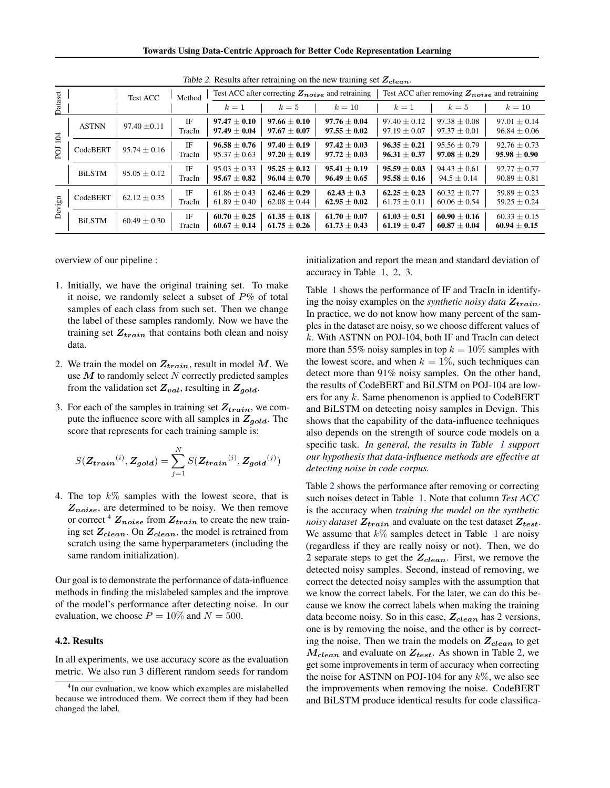Towards Using Data-Centric Approach for Better Code Representation Learning

<span id="page-3-2"></span>

|                  |               | <b>Test ACC</b>  | Method       | Test ACC after correcting $Z_{noise}$ and retraining |                                      |                                      | Test ACC after removing $Z_{noise}$ and retraining |                                      |                                      |
|------------------|---------------|------------------|--------------|------------------------------------------------------|--------------------------------------|--------------------------------------|----------------------------------------------------|--------------------------------------|--------------------------------------|
| <b>Pataset</b>   |               |                  |              | $k=1$                                                | $k=5$                                | $k=10$                               | $k=1$                                              | $k=5$                                | $k=10$                               |
| 104<br><b>DO</b> | <b>ASTNN</b>  | $97.40 \pm 0.11$ | ΙF<br>TracIn | $97.47 \pm 0.10$<br>$97.49 \pm 0.04$                 | $97.66 \pm 0.10$<br>$97.67 \pm 0.07$ | $97.76 \pm 0.04$<br>$97.55 \pm 0.02$ | $97.40 \pm 0.12$<br>$97.19 \pm 0.07$               | $97.38 \pm 0.08$<br>$97.37 \pm 0.01$ | $97.01 \pm 0.14$<br>$96.84 \pm 0.06$ |
|                  | CodeBERT      | $95.74 \pm 0.16$ | IF<br>TracIn | $96.58 \pm 0.76$<br>$95.37 \pm 0.63$                 | $97.40 + 0.19$<br>$97.20 \pm 0.19$   | $97.42 + 0.03$<br>$97.72 \pm 0.03$   | $96.35 + 0.21$<br>$96.31 \pm 0.37$                 | $95.56 + 0.79$<br>$97.08 \pm 0.29$   | $92.76 \pm 0.73$<br>$95.98 \pm 0.90$ |
|                  | <b>BiLSTM</b> | $95.05 \pm 0.12$ | ΙF<br>TracIn | $95.03 \pm 0.33$<br>$95.67 + 0.82$                   | $95.25 + 0.12$<br>$96.04 \pm 0.70$   | $95.41 \pm 0.19$<br>$96.49 \pm 0.65$ | $95.59 + 0.03$<br>$95.58 \pm 0.16$                 | $94.43 + 0.61$<br>$94.5 \pm 0.14$    | $92.77 + 0.77$<br>$90.89 \pm 0.81$   |
| Devign           | CodeBERT      | $62.12 + 0.35$   | IF<br>TracIn | $61.86 \pm 0.43$<br>$61.89 \pm 0.40$                 | $62.46 \pm 0.29$<br>$62.08 \pm 0.44$ | $62.43 + 0.3$<br>$62.95 \pm 0.02$    | $62.25 + 0.23$<br>$61.75 \pm 0.11$                 | $60.32 + 0.77$<br>$60.06 \pm 0.54$   | $59.89 + 0.23$<br>$59.25 \pm 0.24$   |
|                  | <b>BiLSTM</b> | $60.49 \pm 0.30$ | IF<br>TracIn | $60.70 \pm 0.25$<br>$60.67 \pm 0.14$                 | $61.35 + 0.18$<br>$61.75 \pm 0.26$   | $61.70 + 0.07$<br>$61.73 \pm 0.43$   | $61.03 \pm 0.51$<br>$61.19 \pm 0.47$               | $60.90 + 0.16$<br>$60.87 \pm 0.04$   | $60.33 \pm 0.15$<br>$60.94 \pm 0.15$ |

Table 2. Results after retraining on the new training set  $Z_{clean}$ .

overview of our pipeline :

- 1. Initially, we have the original training set. To make it noise, we randomly select a subset of  $P\%$  of total samples of each class from such set. Then we change the label of these samples randomly. Now we have the training set  $Z_{train}$  that contains both clean and noisy data.
- 2. We train the model on  $Z_{train}$ , result in model M. We use  $M$  to randomly select  $N$  correctly predicted samples from the validation set  $Z_{val}$ , resulting in  $Z_{gold}$ .
- 3. For each of the samples in training set  $Z_{train}$ , we compute the influence score with all samples in  $Z_{gold}$ . The score that represents for each training sample is:

$$
S(\mathbf{Z_{train}}^{(i)}, \mathbf{Z_{gold}}) = \sum_{j=1}^{N} S(\mathbf{Z_{train}}^{(i)}, \mathbf{Z_{gold}}^{(j)})
$$

4. The top  $k\%$  samples with the lowest score, that is  $Z_{noise}$ , are determined to be noisy. We then remove or correct  $^{4}$  $^{4}$  $^{4}$   $Z_{noise}$  from  $Z_{train}$  to create the new training set  $Z_{clean}$ . On  $Z_{clean}$ , the model is retrained from scratch using the same hyperparameters (including the same random initialization).

Our goal is to demonstrate the performance of data-influence methods in finding the mislabeled samples and the improve of the model's performance after detecting noise. In our evaluation, we choose  $P = 10\%$  and  $N = 500$ .

## <span id="page-3-0"></span>4.2. Results

In all experiments, we use accuracy score as the evaluation metric. We also run 3 different random seeds for random initialization and report the mean and standard deviation of accuracy in Table [1,](#page-2-4) [2,](#page-3-2) [3.](#page-4-2)

Table [1](#page-2-4) shows the performance of IF and TracIn in identifying the noisy examples on the *synthetic noisy data*  $Z_{train}$ . In practice, we do not know how many percent of the samples in the dataset are noisy, so we choose different values of  $k$ . With ASTNN on POJ-104, both IF and TracIn can detect more than 55% noisy samples in top  $k = 10\%$  samples with the lowest score, and when  $k = 1\%$ , such techniques can detect more than 91% noisy samples. On the other hand, the results of CodeBERT and BiLSTM on POJ-104 are lowers for any  $k$ . Same phenomenon is applied to CodeBERT and BiLSTM on detecting noisy samples in Devign. This shows that the capability of the data-influence techniques also depends on the strength of source code models on a specific task. *In general, the results in Table [1](#page-2-4) support our hypothesis that data-influence methods are effective at detecting noise in code corpus.*

Table [2](#page-3-2) shows the performance after removing or correcting such noises detect in Table [1.](#page-2-4) Note that column *Test ACC* is the accuracy when *training the model on the synthetic noisy dataset*  $Z_{train}$  and evaluate on the test dataset  $Z_{test}$ . We assume that  $k\%$  samples detect in Table [1](#page-2-4) are noisy (regardless if they are really noisy or not). Then, we do 2 separate steps to get the  $Z_{clean}$ . First, we remove the detected noisy samples. Second, instead of removing, we correct the detected noisy samples with the assumption that we know the correct labels. For the later, we can do this because we know the correct labels when making the training data become noisy. So in this case,  $Z_{clean}$  has 2 versions, one is by removing the noise, and the other is by correcting the noise. Then we train the models on  $Z_{clean}$  to get  $M_{clean}$  and evaluate on  $Z_{test}$ . As shown in Table [2,](#page-3-2) we get some improvements in term of accuracy when correcting the noise for ASTNN on POJ-104 for any  $k\%$ , we also see the improvements when removing the noise. CodeBERT and BiLSTM produce identical results for code classifica-

<span id="page-3-1"></span><sup>&</sup>lt;sup>4</sup>In our evaluation, we know which examples are mislabelled because we introduced them. We correct them if they had been changed the label.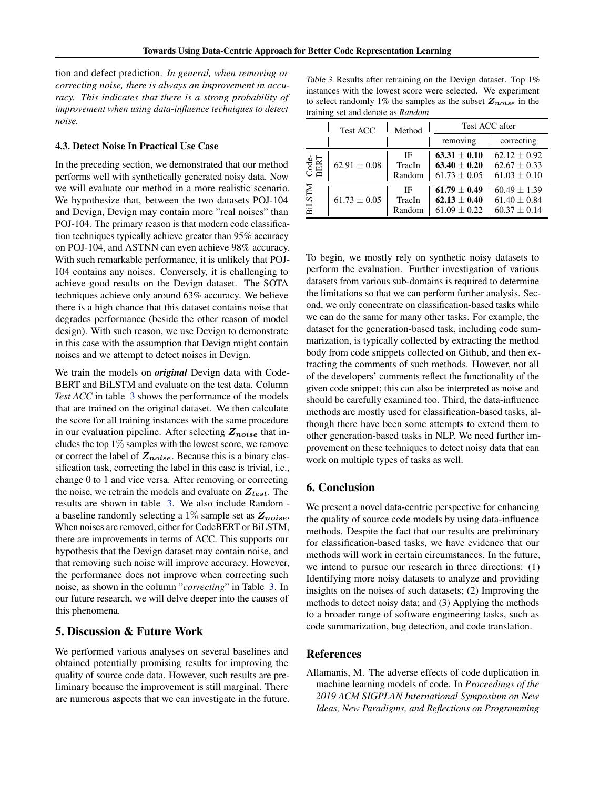tion and defect prediction. *In general, when removing or correcting noise, there is always an improvement in accuracy. This indicates that there is a strong probability of improvement when using data-influence techniques to detect noise.*

## <span id="page-4-1"></span>4.3. Detect Noise In Practical Use Case

In the preceding section, we demonstrated that our method performs well with synthetically generated noisy data. Now we will evaluate our method in a more realistic scenario. We hypothesize that, between the two datasets POJ-104 and Devign, Devign may contain more "real noises" than POJ-104. The primary reason is that modern code classification techniques typically achieve greater than 95% accuracy on POJ-104, and ASTNN can even achieve 98% accuracy. With such remarkable performance, it is unlikely that POJ-104 contains any noises. Conversely, it is challenging to achieve good results on the Devign dataset. The SOTA techniques achieve only around 63% accuracy. We believe there is a high chance that this dataset contains noise that degrades performance (beside the other reason of model design). With such reason, we use Devign to demonstrate in this case with the assumption that Devign might contain noises and we attempt to detect noises in Devign.

We train the models on *original* Devign data with Code-BERT and BiLSTM and evaluate on the test data. Column *Test ACC* in table [3](#page-4-2) shows the performance of the models that are trained on the original dataset. We then calculate the score for all training instances with the same procedure in our evaluation pipeline. After selecting  $Z_{noise}$  that includes the top 1% samples with the lowest score, we remove or correct the label of  $Z_{noise}$ . Because this is a binary classification task, correcting the label in this case is trivial, i.e., change 0 to 1 and vice versa. After removing or correcting the noise, we retrain the models and evaluate on  $Z_{test}$ . The results are shown in table [3.](#page-4-2) We also include Random a baseline randomly selecting a 1% sample set as  $Z_{noise}$ . When noises are removed, either for CodeBERT or BiLSTM, there are improvements in terms of ACC. This supports our hypothesis that the Devign dataset may contain noise, and that removing such noise will improve accuracy. However, the performance does not improve when correcting such noise, as shown in the column "*correcting*" in Table [3.](#page-4-2) In our future research, we will delve deeper into the causes of this phenomena.

## 5. Discussion & Future Work

We performed various analyses on several baselines and obtained potentially promising results for improving the quality of source code data. However, such results are preliminary because the improvement is still marginal. There are numerous aspects that we can investigate in the future.

<span id="page-4-2"></span>

| Table 3. Results after retraining on the Devign dataset. Top 1%    |
|--------------------------------------------------------------------|
| instances with the lowest score were selected. We experiment       |
| to select randomly 1% the samples as the subset $Z_{noise}$ in the |
| training set and denote as Random                                  |

|               | <b>Test ACC</b>  | Method                 | Test ACC after                                         |                                                        |  |  |
|---------------|------------------|------------------------|--------------------------------------------------------|--------------------------------------------------------|--|--|
|               |                  |                        | removing                                               | correcting                                             |  |  |
| Code-<br>BERT | $62.91 + 0.08$   | IF<br>TracIn<br>Random | $63.31 \pm 0.10$<br>$63.40 + 0.20$<br>$61.73 \pm 0.05$ | $62.12 + 0.92$<br>$62.67 \pm 0.33$<br>$61.03 \pm 0.10$ |  |  |
| <b>BILSTM</b> | $61.73 \pm 0.05$ | IF<br>TracIn<br>Random | $61.79 + 0.49$<br>$62.13 \pm 0.40$<br>$61.09 \pm 0.22$ | $60.49 + 1.39$<br>$61.40 \pm 0.84$<br>$60.37 \pm 0.14$ |  |  |

To begin, we mostly rely on synthetic noisy datasets to perform the evaluation. Further investigation of various datasets from various sub-domains is required to determine the limitations so that we can perform further analysis. Second, we only concentrate on classification-based tasks while we can do the same for many other tasks. For example, the dataset for the generation-based task, including code summarization, is typically collected by extracting the method body from code snippets collected on Github, and then extracting the comments of such methods. However, not all of the developers' comments reflect the functionality of the given code snippet; this can also be interpreted as noise and should be carefully examined too. Third, the data-influence methods are mostly used for classification-based tasks, although there have been some attempts to extend them to other generation-based tasks in NLP. We need further improvement on these techniques to detect noisy data that can work on multiple types of tasks as well.

# 6. Conclusion

We present a novel data-centric perspective for enhancing the quality of source code models by using data-influence methods. Despite the fact that our results are preliminary for classification-based tasks, we have evidence that our methods will work in certain circumstances. In the future, we intend to pursue our research in three directions: (1) Identifying more noisy datasets to analyze and providing insights on the noises of such datasets; (2) Improving the methods to detect noisy data; and (3) Applying the methods to a broader range of software engineering tasks, such as code summarization, bug detection, and code translation.

## References

<span id="page-4-0"></span>Allamanis, M. The adverse effects of code duplication in machine learning models of code. In *Proceedings of the 2019 ACM SIGPLAN International Symposium on New Ideas, New Paradigms, and Reflections on Programming*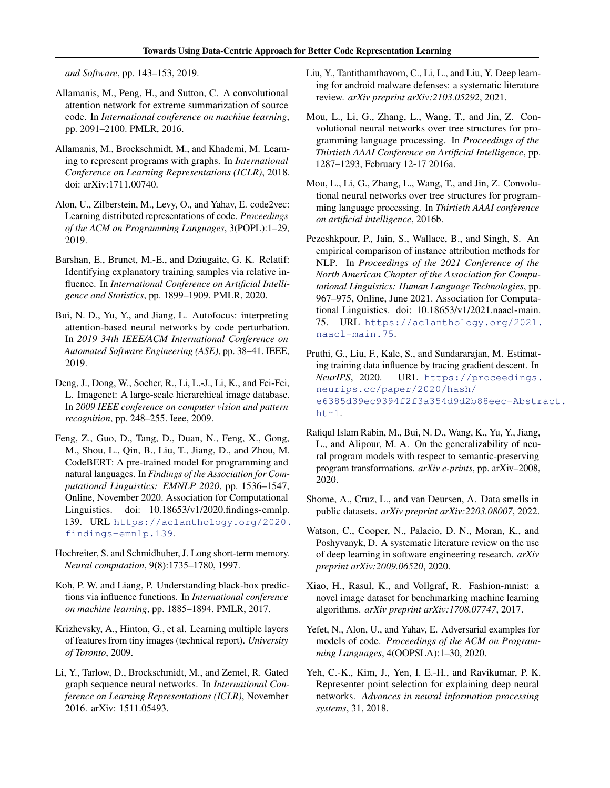*and Software*, pp. 143–153, 2019.

- <span id="page-5-2"></span>Allamanis, M., Peng, H., and Sutton, C. A convolutional attention network for extreme summarization of source code. In *International conference on machine learning*, pp. 2091–2100. PMLR, 2016.
- <span id="page-5-4"></span>Allamanis, M., Brockschmidt, M., and Khademi, M. Learning to represent programs with graphs. In *International Conference on Learning Representations (ICLR)*, 2018. doi: arXiv:1711.00740.
- <span id="page-5-6"></span>Alon, U., Zilberstein, M., Levy, O., and Yahav, E. code2vec: Learning distributed representations of code. *Proceedings of the ACM on Programming Languages*, 3(POPL):1–29, 2019.
- <span id="page-5-15"></span>Barshan, E., Brunet, M.-E., and Dziugaite, G. K. Relatif: Identifying explanatory training samples via relative influence. In *International Conference on Artificial Intelligence and Statistics*, pp. 1899–1909. PMLR, 2020.
- <span id="page-5-16"></span>Bui, N. D., Yu, Y., and Jiang, L. Autofocus: interpreting attention-based neural networks by code perturbation. In *2019 34th IEEE/ACM International Conference on Automated Software Engineering (ASE)*, pp. 38–41. IEEE, 2019.
- <span id="page-5-12"></span>Deng, J., Dong, W., Socher, R., Li, L.-J., Li, K., and Fei-Fei, L. Imagenet: A large-scale hierarchical image database. In *2009 IEEE conference on computer vision and pattern recognition*, pp. 248–255. Ieee, 2009.
- <span id="page-5-20"></span>Feng, Z., Guo, D., Tang, D., Duan, N., Feng, X., Gong, M., Shou, L., Qin, B., Liu, T., Jiang, D., and Zhou, M. CodeBERT: A pre-trained model for programming and natural languages. In *Findings of the Association for Computational Linguistics: EMNLP 2020*, pp. 1536–1547, Online, November 2020. Association for Computational Linguistics. doi:  $10.18653/v1/2020$ .findings-emnlp. 139. URL [https://aclanthology.org/2020.](https://aclanthology.org/2020.findings-emnlp.139) [findings-emnlp.139](https://aclanthology.org/2020.findings-emnlp.139).
- <span id="page-5-21"></span>Hochreiter, S. and Schmidhuber, J. Long short-term memory. *Neural computation*, 9(8):1735–1780, 1997.
- <span id="page-5-8"></span>Koh, P. W. and Liang, P. Understanding black-box predictions via influence functions. In *International conference on machine learning*, pp. 1885–1894. PMLR, 2017.
- <span id="page-5-10"></span>Krizhevsky, A., Hinton, G., et al. Learning multiple layers of features from tiny images (technical report). *University of Toronto*, 2009.
- <span id="page-5-1"></span>Li, Y., Tarlow, D., Brockschmidt, M., and Zemel, R. Gated graph sequence neural networks. In *International Conference on Learning Representations (ICLR)*, November 2016. arXiv: 1511.05493.
- <span id="page-5-0"></span>Liu, Y., Tantithamthavorn, C., Li, L., and Liu, Y. Deep learning for android malware defenses: a systematic literature review. *arXiv preprint arXiv:2103.05292*, 2021.
- <span id="page-5-5"></span>Mou, L., Li, G., Zhang, L., Wang, T., and Jin, Z. Convolutional neural networks over tree structures for programming language processing. In *Proceedings of the Thirtieth AAAI Conference on Artificial Intelligence*, pp. 1287–1293, February 12-17 2016a.
- <span id="page-5-19"></span>Mou, L., Li, G., Zhang, L., Wang, T., and Jin, Z. Convolutional neural networks over tree structures for programming language processing. In *Thirtieth AAAI conference on artificial intelligence*, 2016b.
- <span id="page-5-13"></span>Pezeshkpour, P., Jain, S., Wallace, B., and Singh, S. An empirical comparison of instance attribution methods for NLP. In *Proceedings of the 2021 Conference of the North American Chapter of the Association for Computational Linguistics: Human Language Technologies*, pp. 967–975, Online, June 2021. Association for Computational Linguistics. doi: 10.18653/v1/2021.naacl-main. 75. URL [https://aclanthology.org/2021.](https://aclanthology.org/2021.naacl-main.75) [naacl-main.75](https://aclanthology.org/2021.naacl-main.75).
- <span id="page-5-9"></span>Pruthi, G., Liu, F., Kale, S., and Sundararajan, M. Estimating training data influence by tracing gradient descent. In *NeurIPS*, 2020. URL [https://proceedings.](https://proceedings.neurips.cc/paper/2020/hash/e6385d39ec9394f2f3a354d9d2b88eec-Abstract.html) [neurips.cc/paper/2020/hash/](https://proceedings.neurips.cc/paper/2020/hash/e6385d39ec9394f2f3a354d9d2b88eec-Abstract.html) [e6385d39ec9394f2f3a354d9d2b88eec-Abstr](https://proceedings.neurips.cc/paper/2020/hash/e6385d39ec9394f2f3a354d9d2b88eec-Abstract.html)act. [html](https://proceedings.neurips.cc/paper/2020/hash/e6385d39ec9394f2f3a354d9d2b88eec-Abstract.html).
- <span id="page-5-17"></span>Rafiqul Islam Rabin, M., Bui, N. D., Wang, K., Yu, Y., Jiang, L., and Alipour, M. A. On the generalizability of neural program models with respect to semantic-preserving program transformations. *arXiv e-prints*, pp. arXiv–2008, 2020.
- <span id="page-5-7"></span>Shome, A., Cruz, L., and van Deursen, A. Data smells in public datasets. *arXiv preprint arXiv:2203.08007*, 2022.
- <span id="page-5-3"></span>Watson, C., Cooper, N., Palacio, D. N., Moran, K., and Poshyvanyk, D. A systematic literature review on the use of deep learning in software engineering research. *arXiv preprint arXiv:2009.06520*, 2020.
- <span id="page-5-11"></span>Xiao, H., Rasul, K., and Vollgraf, R. Fashion-mnist: a novel image dataset for benchmarking machine learning algorithms. *arXiv preprint arXiv:1708.07747*, 2017.
- <span id="page-5-18"></span>Yefet, N., Alon, U., and Yahav, E. Adversarial examples for models of code. *Proceedings of the ACM on Programming Languages*, 4(OOPSLA):1–30, 2020.
- <span id="page-5-14"></span>Yeh, C.-K., Kim, J., Yen, I. E.-H., and Ravikumar, P. K. Representer point selection for explaining deep neural networks. *Advances in neural information processing systems*, 31, 2018.